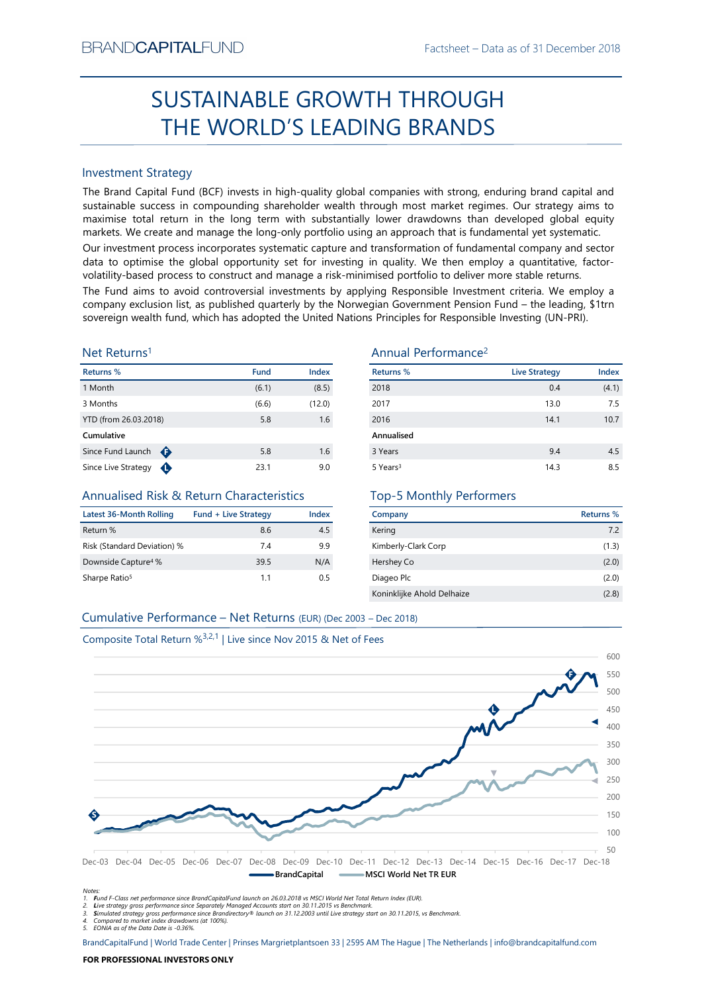# Factsheet – Data as of 31 December 2018<br> **ROUGH** SUSTAINABLE GROWTH THROUGH THE WORLD'S LEADING BRANDS

# Investment Strategy

SUSTAINABLE GROWTH THROUGH<br>
THE WORLD'S LEADING BRANDS<br>
Investment Strategy<br>
Investment Strategy<br>
Investment Strategy<br>
Investment Strategy aims to<br>
Investment Strategy in methods concerned the more investment in through m 1 Month (6.1) (8.5) BRAND**CAPITAL**FUND<br>
Factsheet – Data as of 31 December 2018<br> **SUSTAINABLE GROWTH THROUGH**<br> **THE WORLD'S LEADING BRANDS**<br>
Investment Strategy<br>
Investment Strategy<br>
Investment Strategy<br>
Investment Strategy<br>
Investment Strate  $\begin{array}{ll} \text{BackNet} - \text{Data so f 31 December 2018} \\ \text{SUSTAINABLE GROWTH THROUGH} \\ \text{THE WORKLDS LEADING BRANDS} \\ \text{Interest Strategy} \\ \text{The Brand Capital Fund (BCF) invests in high-quality global companies with strong, ending brand capital and sustainable success in compounding starholder wealth through most market regimes. Our strategy aims to make a useful return in the long term with substantially lower drawlanded global equity markets. We create and manage the long-only portfolio using an approach that is fundamental very significant. Our investment process incorporates systematic capture and transformation of fundamental company and sector volatility-based process to construct and manage a risk-minimised portfolio to deliver more stable returns. \end{array}$ BRAND**CAPITAL**FUND<br>
SUSTAINABLE GROWTH THROUGH<br>
THE WORLD'S LEADING BRANDS<br>
Investment Strategy<br>
Inte Brand Capital Fund (BCF) invests in high-quality global companies with strong, enduring brand capital and<br>
sustainable s BRAND**CAPITAL**FUND<br>
SUSTAINABLE GROWTH THROUGH<br>
THE WORLD'S LEADING BRANDS<br>
Investment Strategy<br>
Investment Strategy<br>
Investment Strategy<br>
Investment Strategy<br>
Investment Strategy<br>
Investment Strategy<br>
and Capital fund (BC BRAND**CAPITAL**FUND<br>
SUSTAINABLE GROWTH THROUGH<br>
THE WORLD'S LEADING BRANDS<br>
Investment Strategy<br>
Investment Strategy<br>
Investment Strategy<br>
Investment Strategy<br>
Investment Strategy<br>
Sustainable success in compounding shareh BRANDCAPITALFUND<br>
SUSTAINABLE GROWTH THROUGH<br>
THE WORLD'S LEADING BRANDS<br>
Investment Strategy<br>
In the Brand Capital Fund (ICF) invests in high-quality global companies with strong, enduring brand capital and<br>
sustainable s BRANDCAPITALFUND<br>
SUSTAINABLE GROWTH THROUGH<br>
THE WORLD'S LEADING BRANDS<br>
Investment Strategy<br>
Interesting and Capital Fund (BCF) invests in high-quality global companies with strong, enduring brand capital and<br>
maximise t BRANDCAPITALFUND<br>
SUSTAINABLE GROWTH THROUGH<br>
THE WORLD'S LEADING BRANDS<br>
Investment Strategy<br>
The Brand Gapital Fund (BCF) invests in high-quality global companies with strong, enduring brand capital and<br>
sustainable succ BRANDCAPITALFUND<br>
SUSTAINABLE GROWTH THROUGH<br>
THE WORLD'S LEADING BRANDS<br>
Investment Strategy<br>
The Brand Capital Fund (BCF) invests in high-quality global companies with strong, enduring brand capital and<br>
maximize to con BRANDCAPITALFUND<br>
SUSTAINABLE GROWTH THROUGH<br>
THE WORLD'S LEADING BRANDS<br>
Investment Strategy<br>
Investment Strategy<br>
Investign fund (CCF) invests in high-quality global companies with strong, enduring brand capital and<br>
sus

# Net Returns1

| Returns %              | <b>Fund</b> | Index  |
|------------------------|-------------|--------|
| 1 Month                | (6.1)       | (8.5)  |
| 3 Months               | (6.6)       | (12.0) |
| YTD (from 26.03.2018)  | 5.8         | 1.6    |
| Cumulative             |             |        |
| ⊕<br>Since Fund Launch | 5.8         | 1.6    |
| Since Live Strategy    | 23.1        | 9.0    |

# Annualised Risk & Return Characteristics

| Latest 36-Month Rolling         | <b>Fund + Live Strategy</b> | Index |
|---------------------------------|-----------------------------|-------|
| Return %                        | 8.6                         | 4.5   |
| Risk (Standard Deviation) %     | 74                          | 9.9   |
| Downside Capture <sup>4</sup> % | 39.5                        | N/A   |
| Sharpe Ratio <sup>5</sup>       | 11                          | 0 5   |

# Annual Performance2

|                                                                               |                             |            | <b>SUSTAINABLE GROWTH THROUGH</b>                                                                                                                                                                                                                                                                                                                                                                                                                                                                                                                                                                                                                                                                                                                                                                                                                                                                            |                      |                  |
|-------------------------------------------------------------------------------|-----------------------------|------------|--------------------------------------------------------------------------------------------------------------------------------------------------------------------------------------------------------------------------------------------------------------------------------------------------------------------------------------------------------------------------------------------------------------------------------------------------------------------------------------------------------------------------------------------------------------------------------------------------------------------------------------------------------------------------------------------------------------------------------------------------------------------------------------------------------------------------------------------------------------------------------------------------------------|----------------------|------------------|
|                                                                               |                             |            | THE WORLD'S LEADING BRANDS                                                                                                                                                                                                                                                                                                                                                                                                                                                                                                                                                                                                                                                                                                                                                                                                                                                                                   |                      |                  |
|                                                                               |                             |            |                                                                                                                                                                                                                                                                                                                                                                                                                                                                                                                                                                                                                                                                                                                                                                                                                                                                                                              |                      |                  |
| <b>Investment Strategy</b>                                                    |                             |            |                                                                                                                                                                                                                                                                                                                                                                                                                                                                                                                                                                                                                                                                                                                                                                                                                                                                                                              |                      |                  |
|                                                                               |                             |            | The Brand Capital Fund (BCF) invests in high-quality global companies with strong, enduring brand capital and<br>sustainable success in compounding shareholder wealth through most market regimes. Our strategy aims to<br>maximise total return in the long term with substantially lower drawdowns than developed global equity<br>markets. We create and manage the long-only portfolio using an approach that is fundamental yet systematic.<br>Our investment process incorporates systematic capture and transformation of fundamental company and sector<br>data to optimise the global opportunity set for investing in quality. We then employ a quantitative, factor-<br>volatility-based process to construct and manage a risk-minimised portfolio to deliver more stable returns.<br>The Fund aims to avoid controversial investments by applying Responsible Investment criteria. We employ a |                      |                  |
|                                                                               |                             |            | company exclusion list, as published quarterly by the Norwegian Government Pension Fund - the leading, \$1trn<br>sovereign wealth fund, which has adopted the United Nations Principles for Responsible Investing (UN-PRI).                                                                                                                                                                                                                                                                                                                                                                                                                                                                                                                                                                                                                                                                                  |                      |                  |
| Net Returns <sup>1</sup>                                                      |                             |            | Annual Performance <sup>2</sup>                                                                                                                                                                                                                                                                                                                                                                                                                                                                                                                                                                                                                                                                                                                                                                                                                                                                              |                      |                  |
| Returns %                                                                     | <b>Fund</b>                 | Index      | <b>Returns %</b>                                                                                                                                                                                                                                                                                                                                                                                                                                                                                                                                                                                                                                                                                                                                                                                                                                                                                             | <b>Live Strategy</b> | Index            |
| 1 Month                                                                       | (6.1)                       | (8.5)      | 2018                                                                                                                                                                                                                                                                                                                                                                                                                                                                                                                                                                                                                                                                                                                                                                                                                                                                                                         | 0.4                  | (4.1)            |
| 3 Months                                                                      | (6.6)                       | (12.0)     | 2017                                                                                                                                                                                                                                                                                                                                                                                                                                                                                                                                                                                                                                                                                                                                                                                                                                                                                                         | 13.0                 | 7.5              |
| YTD (from 26.03.2018)                                                         | 5.8                         | 1.6        | 2016                                                                                                                                                                                                                                                                                                                                                                                                                                                                                                                                                                                                                                                                                                                                                                                                                                                                                                         | 14.1                 | 10.7             |
| Cumulative                                                                    |                             |            | Annualised                                                                                                                                                                                                                                                                                                                                                                                                                                                                                                                                                                                                                                                                                                                                                                                                                                                                                                   |                      |                  |
| Since Fund Launch $\bigoplus$<br>Since Live Strategy $\bigoplus$              | 5.8<br>23.1                 | 1.6<br>9.0 | 3 Years<br>5 Years <sup>3</sup>                                                                                                                                                                                                                                                                                                                                                                                                                                                                                                                                                                                                                                                                                                                                                                                                                                                                              | 9.4<br>14.3          | 4.5<br>8.5       |
| Annualised Risk & Return Characteristics                                      |                             |            | <b>Top-5 Monthly Performers</b>                                                                                                                                                                                                                                                                                                                                                                                                                                                                                                                                                                                                                                                                                                                                                                                                                                                                              |                      |                  |
| <b>Latest 36-Month Rolling</b>                                                | <b>Fund + Live Strategy</b> | Index      | Company                                                                                                                                                                                                                                                                                                                                                                                                                                                                                                                                                                                                                                                                                                                                                                                                                                                                                                      |                      | <b>Returns %</b> |
| Return %                                                                      | 8.6                         | 4.5        | Kering                                                                                                                                                                                                                                                                                                                                                                                                                                                                                                                                                                                                                                                                                                                                                                                                                                                                                                       |                      | 7.2              |
| Risk (Standard Deviation) %                                                   | 7.4                         | 9.9        | Kimberly-Clark Corp                                                                                                                                                                                                                                                                                                                                                                                                                                                                                                                                                                                                                                                                                                                                                                                                                                                                                          |                      | (1.3)            |
| Downside Capture <sup>4</sup> %                                               | 39.5                        | N/A        | Hershey Co                                                                                                                                                                                                                                                                                                                                                                                                                                                                                                                                                                                                                                                                                                                                                                                                                                                                                                   |                      | (2.0)            |
| Sharpe Ratio <sup>5</sup>                                                     | 1.1                         | 0.5        | Diageo Plc                                                                                                                                                                                                                                                                                                                                                                                                                                                                                                                                                                                                                                                                                                                                                                                                                                                                                                   |                      | (2.0)            |
|                                                                               |                             |            | Koninklijke Ahold Delhaize                                                                                                                                                                                                                                                                                                                                                                                                                                                                                                                                                                                                                                                                                                                                                                                                                                                                                   |                      | (2.8)            |
| Cumulative Performance - Net Returns (EUR) (Dec 2003 - Dec 2018)              |                             |            |                                                                                                                                                                                                                                                                                                                                                                                                                                                                                                                                                                                                                                                                                                                                                                                                                                                                                                              |                      |                  |
| Composite Total Return % <sup>3,2,1</sup>   Live since Nov 2015 & Net of Fees |                             |            |                                                                                                                                                                                                                                                                                                                                                                                                                                                                                                                                                                                                                                                                                                                                                                                                                                                                                                              |                      |                  |
|                                                                               |                             |            |                                                                                                                                                                                                                                                                                                                                                                                                                                                                                                                                                                                                                                                                                                                                                                                                                                                                                                              |                      | 600              |
|                                                                               |                             |            |                                                                                                                                                                                                                                                                                                                                                                                                                                                                                                                                                                                                                                                                                                                                                                                                                                                                                                              |                      |                  |

# Top-5 Monthly Performers

| Company                    | Returns % |
|----------------------------|-----------|
| Kering                     | 7.2       |
| Kimberly-Clark Corp        | (1.3)     |
| Hershey Co                 | (2.0)     |
| Diageo Plc                 | (2.0)     |
| Koninklijke Ahold Delhaize | (2.8)     |



Notes:<br>1. Fund F-Class net performance since BrandCapitalFund launch on 26.03.2018 vs MSCI World Net Total Return Index (EUR).<br>2. Live strategy gross performance since Separately Managed Accounts start on 30.11.2015 vs Ben

5. EONIA as of the Data Date is -0.36%.